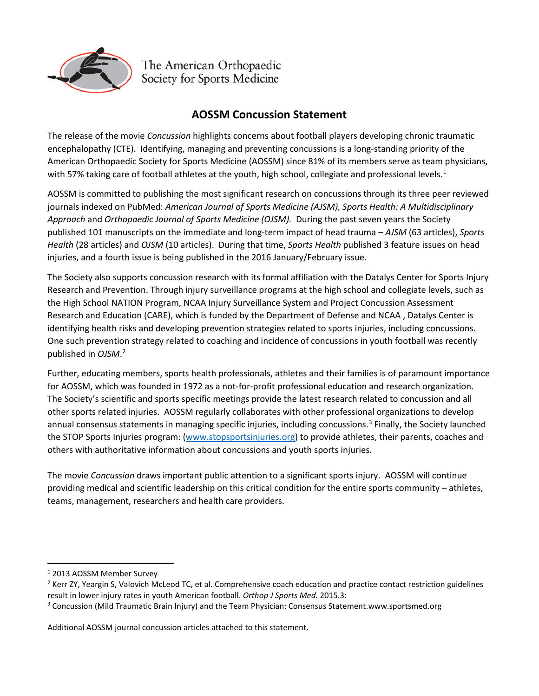

The American Orthopaedic Society for Sports Medicine

## **AOSSM Concussion Statement**

The release of the movie *Concussion* highlights concerns about football players developing chronic traumatic encephalopathy (CTE). Identifying, managing and preventing concussions is a long-standing priority of the American Orthopaedic Society for Sports Medicine (AOSSM) since 81% of its members serve as team physicians, with 57% taking care of football athletes at the youth, high school, collegiate and professional levels.<sup>[1](#page-0-0)</sup>

AOSSM is committed to publishing the most significant research on concussions through its three peer reviewed journals indexed on PubMed: *American Journal of Sports Medicine (AJSM), Sports Health: A Multidisciplinary Approach* and *Orthopaedic Journal of Sports Medicine (OJSM).* During the past seven years the Society published 101 manuscripts on the immediate and long-term impact of head trauma – *AJSM* (63 articles), *Sports Health* (28 articles) and *OJSM* (10 articles). During that time, *Sports Health* published 3 feature issues on head injuries, and a fourth issue is being published in the 2016 January/February issue.

The Society also supports concussion research with its formal affiliation with the Datalys Center for Sports Injury Research and Prevention. Through injury surveillance programs at the high school and collegiate levels, such as the High School NATION Program, NCAA Injury Surveillance System and Project Concussion Assessment Research and Education (CARE), which is funded by the Department of Defense and NCAA , Datalys Center is identifying health risks and developing prevention strategies related to sports injuries, including concussions. One such prevention strategy related to coaching and incidence of concussions in youth football was recently published in *OJSM*. [2](#page-0-1)

Further, educating members, sports health professionals, athletes and their families is of paramount importance for AOSSM, which was founded in 1972 as a not-for-profit professional education and research organization. The Society's scientific and sports specific meetings provide the latest research related to concussion and all other sports related injuries. AOSSM regularly collaborates with other professional organizations to develop annual consensus statements in managing specific injuries, including concussions.<sup>[3](#page-0-2)</sup> Finally, the Society launched the STOP Sports Injuries program: [\(www.stopsportsinjuries.org\)](http://www.stopsportsinjuries.org/) to provide athletes, their parents, coaches and others with authoritative information about concussions and youth sports injuries.

The movie *Concussion* draws important public attention to a significant sports injury. AOSSM will continue providing medical and scientific leadership on this critical condition for the entire sports community – athletes, teams, management, researchers and health care providers.

Additional AOSSM journal concussion articles attached to this statement.

<span id="page-0-0"></span> <sup>1</sup> 2013 AOSSM Member Survey

<span id="page-0-1"></span><sup>&</sup>lt;sup>2</sup> Kerr ZY, Yeargin S, Valovich McLeod TC, et al. Comprehensive coach education and practice contact restriction guidelines result in lower injury rates in youth American football. *Orthop J Sports Med.* 2015.3:

<span id="page-0-2"></span><sup>&</sup>lt;sup>3</sup> Concussion (Mild Traumatic Brain Injury) and the Team Physician: Consensus Statement.www.sportsmed.org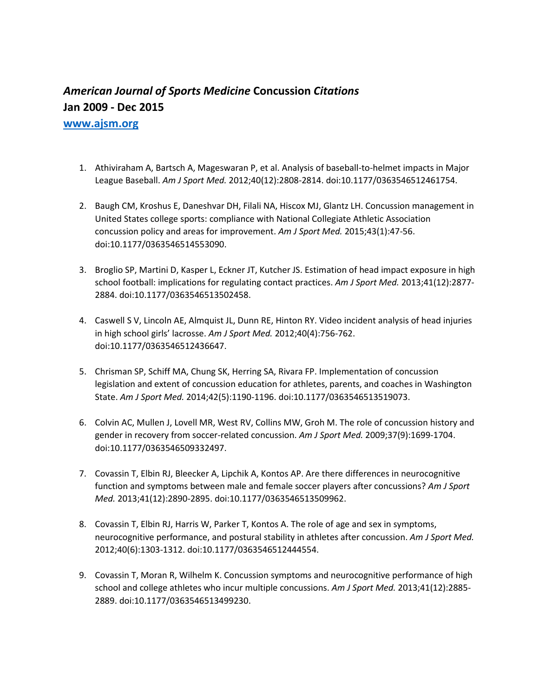## *American Journal of Sports Medicine* **Concussion** *Citations*  **Jan 2009 - Dec 2015 [www.ajsm.org](http://www.ajsm.org/)**

1. Athiviraham A, Bartsch A, Mageswaran P, et al. Analysis of baseball-to-helmet impacts in Major League Baseball. *Am J Sport Med.* 2012;40(12):2808-2814. doi:10.1177/0363546512461754.

- 2. Baugh CM, Kroshus E, Daneshvar DH, Filali NA, Hiscox MJ, Glantz LH. Concussion management in United States college sports: compliance with National Collegiate Athletic Association concussion policy and areas for improvement. *Am J Sport Med.* 2015;43(1):47-56. doi:10.1177/0363546514553090.
- 3. Broglio SP, Martini D, Kasper L, Eckner JT, Kutcher JS. Estimation of head impact exposure in high school football: implications for regulating contact practices. *Am J Sport Med.* 2013;41(12):2877- 2884. doi:10.1177/0363546513502458.
- 4. Caswell S V, Lincoln AE, Almquist JL, Dunn RE, Hinton RY. Video incident analysis of head injuries in high school girls' lacrosse. *Am J Sport Med.* 2012;40(4):756-762. doi:10.1177/0363546512436647.
- 5. Chrisman SP, Schiff MA, Chung SK, Herring SA, Rivara FP. Implementation of concussion legislation and extent of concussion education for athletes, parents, and coaches in Washington State. *Am J Sport Med.* 2014;42(5):1190-1196. doi:10.1177/0363546513519073.
- 6. Colvin AC, Mullen J, Lovell MR, West RV, Collins MW, Groh M. The role of concussion history and gender in recovery from soccer-related concussion. *Am J Sport Med.* 2009;37(9):1699-1704. doi:10.1177/0363546509332497.
- 7. Covassin T, Elbin RJ, Bleecker A, Lipchik A, Kontos AP. Are there differences in neurocognitive function and symptoms between male and female soccer players after concussions? *Am J Sport Med.* 2013;41(12):2890-2895. doi:10.1177/0363546513509962.
- 8. Covassin T, Elbin RJ, Harris W, Parker T, Kontos A. The role of age and sex in symptoms, neurocognitive performance, and postural stability in athletes after concussion. *Am J Sport Med.* 2012;40(6):1303-1312. doi:10.1177/0363546512444554.
- 9. Covassin T, Moran R, Wilhelm K. Concussion symptoms and neurocognitive performance of high school and college athletes who incur multiple concussions. *Am J Sport Med.* 2013;41(12):2885- 2889. doi:10.1177/0363546513499230.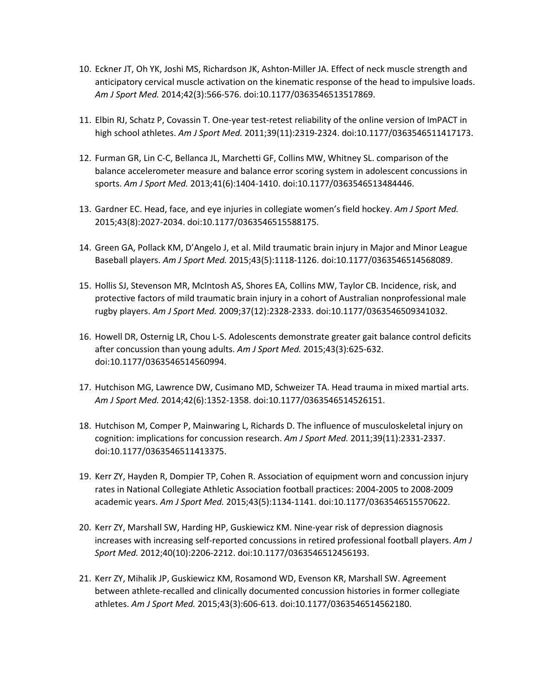- 10. Eckner JT, Oh YK, Joshi MS, Richardson JK, Ashton-Miller JA. Effect of neck muscle strength and anticipatory cervical muscle activation on the kinematic response of the head to impulsive loads. *Am J Sport Med.* 2014;42(3):566-576. doi:10.1177/0363546513517869.
- 11. Elbin RJ, Schatz P, Covassin T. One-year test-retest reliability of the online version of ImPACT in high school athletes. *Am J Sport Med.* 2011;39(11):2319-2324. doi:10.1177/0363546511417173.
- 12. Furman GR, Lin C-C, Bellanca JL, Marchetti GF, Collins MW, Whitney SL. comparison of the balance accelerometer measure and balance error scoring system in adolescent concussions in sports. *Am J Sport Med.* 2013;41(6):1404-1410. doi:10.1177/0363546513484446.
- 13. Gardner EC. Head, face, and eye injuries in collegiate women's field hockey. *Am J Sport Med.* 2015;43(8):2027-2034. doi:10.1177/0363546515588175.
- 14. Green GA, Pollack KM, D'Angelo J, et al. Mild traumatic brain injury in Major and Minor League Baseball players. *Am J Sport Med.* 2015;43(5):1118-1126. doi:10.1177/0363546514568089.
- 15. Hollis SJ, Stevenson MR, McIntosh AS, Shores EA, Collins MW, Taylor CB. Incidence, risk, and protective factors of mild traumatic brain injury in a cohort of Australian nonprofessional male rugby players. *Am J Sport Med.* 2009;37(12):2328-2333. doi:10.1177/0363546509341032.
- 16. Howell DR, Osternig LR, Chou L-S. Adolescents demonstrate greater gait balance control deficits after concussion than young adults. *Am J Sport Med.* 2015;43(3):625-632. doi:10.1177/0363546514560994.
- 17. Hutchison MG, Lawrence DW, Cusimano MD, Schweizer TA. Head trauma in mixed martial arts. *Am J Sport Med.* 2014;42(6):1352-1358. doi:10.1177/0363546514526151.
- 18. Hutchison M, Comper P, Mainwaring L, Richards D. The influence of musculoskeletal injury on cognition: implications for concussion research. *Am J Sport Med.* 2011;39(11):2331-2337. doi:10.1177/0363546511413375.
- 19. Kerr ZY, Hayden R, Dompier TP, Cohen R. Association of equipment worn and concussion injury rates in National Collegiate Athletic Association football practices: 2004-2005 to 2008-2009 academic years. *Am J Sport Med.* 2015;43(5):1134-1141. doi:10.1177/0363546515570622.
- 20. Kerr ZY, Marshall SW, Harding HP, Guskiewicz KM. Nine-year risk of depression diagnosis increases with increasing self-reported concussions in retired professional football players. *Am J Sport Med.* 2012;40(10):2206-2212. doi:10.1177/0363546512456193.
- 21. Kerr ZY, Mihalik JP, Guskiewicz KM, Rosamond WD, Evenson KR, Marshall SW. Agreement between athlete-recalled and clinically documented concussion histories in former collegiate athletes. *Am J Sport Med.* 2015;43(3):606-613. doi:10.1177/0363546514562180.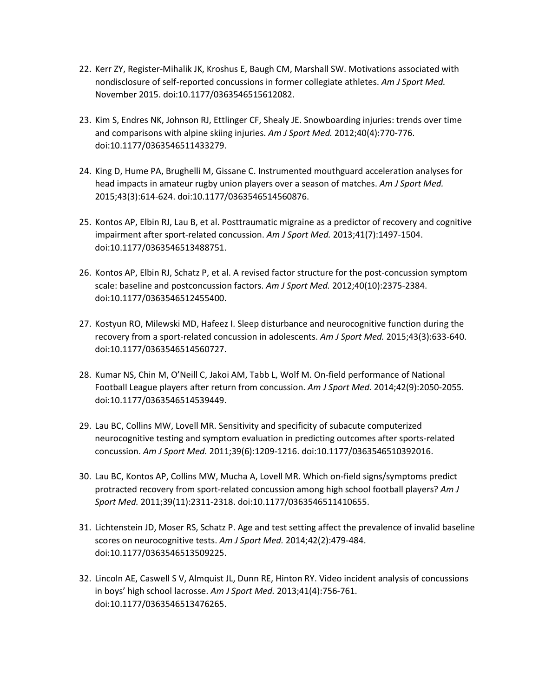- 22. Kerr ZY, Register-Mihalik JK, Kroshus E, Baugh CM, Marshall SW. Motivations associated with nondisclosure of self-reported concussions in former collegiate athletes. *Am J Sport Med.* November 2015. doi:10.1177/0363546515612082.
- 23. Kim S, Endres NK, Johnson RJ, Ettlinger CF, Shealy JE. Snowboarding injuries: trends over time and comparisons with alpine skiing injuries. *Am J Sport Med.* 2012;40(4):770-776. doi:10.1177/0363546511433279.
- 24. King D, Hume PA, Brughelli M, Gissane C. Instrumented mouthguard acceleration analyses for head impacts in amateur rugby union players over a season of matches. *Am J Sport Med.* 2015;43(3):614-624. doi:10.1177/0363546514560876.
- 25. Kontos AP, Elbin RJ, Lau B, et al. Posttraumatic migraine as a predictor of recovery and cognitive impairment after sport-related concussion. *Am J Sport Med.* 2013;41(7):1497-1504. doi:10.1177/0363546513488751.
- 26. Kontos AP, Elbin RJ, Schatz P, et al. A revised factor structure for the post-concussion symptom scale: baseline and postconcussion factors. *Am J Sport Med.* 2012;40(10):2375-2384. doi:10.1177/0363546512455400.
- 27. Kostyun RO, Milewski MD, Hafeez I. Sleep disturbance and neurocognitive function during the recovery from a sport-related concussion in adolescents. *Am J Sport Med.* 2015;43(3):633-640. doi:10.1177/0363546514560727.
- 28. Kumar NS, Chin M, O'Neill C, Jakoi AM, Tabb L, Wolf M. On-field performance of National Football League players after return from concussion. *Am J Sport Med.* 2014;42(9):2050-2055. doi:10.1177/0363546514539449.
- 29. Lau BC, Collins MW, Lovell MR. Sensitivity and specificity of subacute computerized neurocognitive testing and symptom evaluation in predicting outcomes after sports-related concussion. *Am J Sport Med.* 2011;39(6):1209-1216. doi:10.1177/0363546510392016.
- 30. Lau BC, Kontos AP, Collins MW, Mucha A, Lovell MR. Which on-field signs/symptoms predict protracted recovery from sport-related concussion among high school football players? *Am J Sport Med.* 2011;39(11):2311-2318. doi:10.1177/0363546511410655.
- 31. Lichtenstein JD, Moser RS, Schatz P. Age and test setting affect the prevalence of invalid baseline scores on neurocognitive tests. *Am J Sport Med.* 2014;42(2):479-484. doi:10.1177/0363546513509225.
- 32. Lincoln AE, Caswell S V, Almquist JL, Dunn RE, Hinton RY. Video incident analysis of concussions in boys' high school lacrosse. *Am J Sport Med.* 2013;41(4):756-761. doi:10.1177/0363546513476265.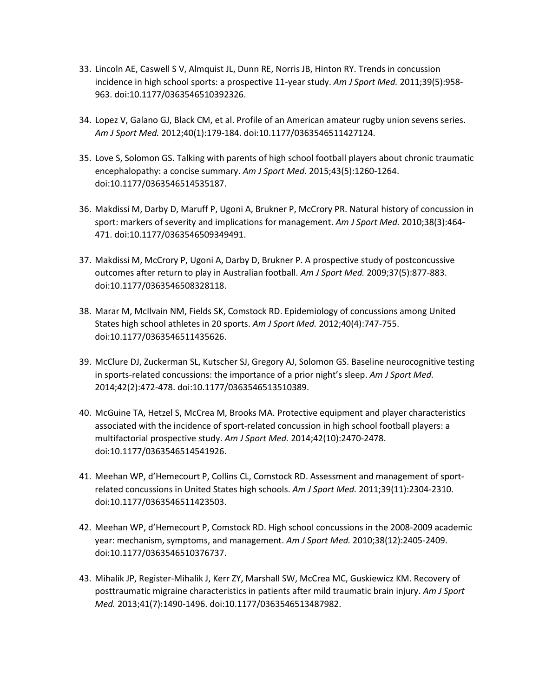- 33. Lincoln AE, Caswell S V, Almquist JL, Dunn RE, Norris JB, Hinton RY. Trends in concussion incidence in high school sports: a prospective 11-year study. *Am J Sport Med.* 2011;39(5):958- 963. doi:10.1177/0363546510392326.
- 34. Lopez V, Galano GJ, Black CM, et al. Profile of an American amateur rugby union sevens series. *Am J Sport Med.* 2012;40(1):179-184. doi:10.1177/0363546511427124.
- 35. Love S, Solomon GS. Talking with parents of high school football players about chronic traumatic encephalopathy: a concise summary. *Am J Sport Med.* 2015;43(5):1260-1264. doi:10.1177/0363546514535187.
- 36. Makdissi M, Darby D, Maruff P, Ugoni A, Brukner P, McCrory PR. Natural history of concussion in sport: markers of severity and implications for management. *Am J Sport Med.* 2010;38(3):464- 471. doi:10.1177/0363546509349491.
- 37. Makdissi M, McCrory P, Ugoni A, Darby D, Brukner P. A prospective study of postconcussive outcomes after return to play in Australian football. *Am J Sport Med.* 2009;37(5):877-883. doi:10.1177/0363546508328118.
- 38. Marar M, McIlvain NM, Fields SK, Comstock RD. Epidemiology of concussions among United States high school athletes in 20 sports. *Am J Sport Med.* 2012;40(4):747-755. doi:10.1177/0363546511435626.
- 39. McClure DJ, Zuckerman SL, Kutscher SJ, Gregory AJ, Solomon GS. Baseline neurocognitive testing in sports-related concussions: the importance of a prior night's sleep. *Am J Sport Med.* 2014;42(2):472-478. doi:10.1177/0363546513510389.
- 40. McGuine TA, Hetzel S, McCrea M, Brooks MA. Protective equipment and player characteristics associated with the incidence of sport-related concussion in high school football players: a multifactorial prospective study. *Am J Sport Med.* 2014;42(10):2470-2478. doi:10.1177/0363546514541926.
- 41. Meehan WP, d'Hemecourt P, Collins CL, Comstock RD. Assessment and management of sportrelated concussions in United States high schools. *Am J Sport Med.* 2011;39(11):2304-2310. doi:10.1177/0363546511423503.
- 42. Meehan WP, d'Hemecourt P, Comstock RD. High school concussions in the 2008-2009 academic year: mechanism, symptoms, and management. *Am J Sport Med.* 2010;38(12):2405-2409. doi:10.1177/0363546510376737.
- 43. Mihalik JP, Register-Mihalik J, Kerr ZY, Marshall SW, McCrea MC, Guskiewicz KM. Recovery of posttraumatic migraine characteristics in patients after mild traumatic brain injury. *Am J Sport Med.* 2013;41(7):1490-1496. doi:10.1177/0363546513487982.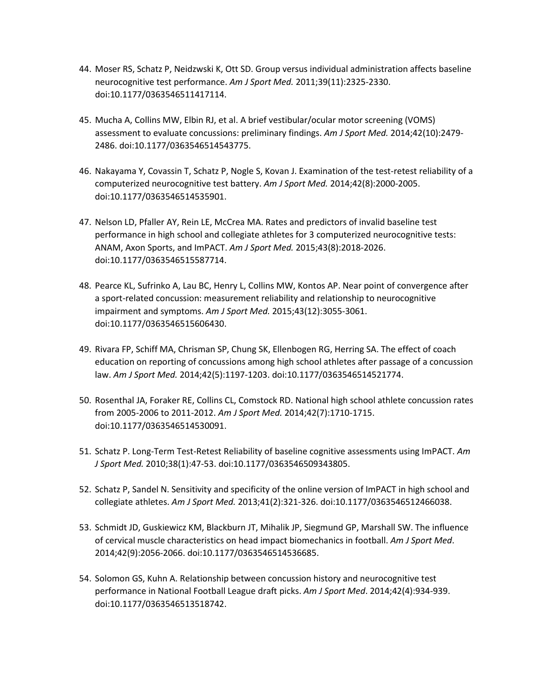- 44. Moser RS, Schatz P, Neidzwski K, Ott SD. Group versus individual administration affects baseline neurocognitive test performance. *Am J Sport Med.* 2011;39(11):2325-2330. doi:10.1177/0363546511417114.
- 45. Mucha A, Collins MW, Elbin RJ, et al. A brief vestibular/ocular motor screening (VOMS) assessment to evaluate concussions: preliminary findings. *Am J Sport Med.* 2014;42(10):2479- 2486. doi:10.1177/0363546514543775.
- 46. Nakayama Y, Covassin T, Schatz P, Nogle S, Kovan J. Examination of the test-retest reliability of a computerized neurocognitive test battery. *Am J Sport Med.* 2014;42(8):2000-2005. doi:10.1177/0363546514535901.
- 47. Nelson LD, Pfaller AY, Rein LE, McCrea MA. Rates and predictors of invalid baseline test performance in high school and collegiate athletes for 3 computerized neurocognitive tests: ANAM, Axon Sports, and ImPACT. *Am J Sport Med.* 2015;43(8):2018-2026. doi:10.1177/0363546515587714.
- 48. Pearce KL, Sufrinko A, Lau BC, Henry L, Collins MW, Kontos AP. Near point of convergence after a sport-related concussion: measurement reliability and relationship to neurocognitive impairment and symptoms. *Am J Sport Med.* 2015;43(12):3055-3061. doi:10.1177/0363546515606430.
- 49. Rivara FP, Schiff MA, Chrisman SP, Chung SK, Ellenbogen RG, Herring SA. The effect of coach education on reporting of concussions among high school athletes after passage of a concussion law. *Am J Sport Med.* 2014;42(5):1197-1203. doi:10.1177/0363546514521774.
- 50. Rosenthal JA, Foraker RE, Collins CL, Comstock RD. National high school athlete concussion rates from 2005-2006 to 2011-2012. *Am J Sport Med.* 2014;42(7):1710-1715. doi:10.1177/0363546514530091.
- 51. Schatz P. Long-Term Test-Retest Reliability of baseline cognitive assessments using ImPACT. *Am J Sport Med.* 2010;38(1):47-53. doi:10.1177/0363546509343805.
- 52. Schatz P, Sandel N. Sensitivity and specificity of the online version of ImPACT in high school and collegiate athletes. *Am J Sport Med.* 2013;41(2):321-326. doi:10.1177/0363546512466038.
- 53. Schmidt JD, Guskiewicz KM, Blackburn JT, Mihalik JP, Siegmund GP, Marshall SW. The influence of cervical muscle characteristics on head impact biomechanics in football. *Am J Sport Med*. 2014;42(9):2056-2066. doi:10.1177/0363546514536685.
- 54. Solomon GS, Kuhn A. Relationship between concussion history and neurocognitive test performance in National Football League draft picks. *Am J Sport Med*. 2014;42(4):934-939. doi:10.1177/0363546513518742.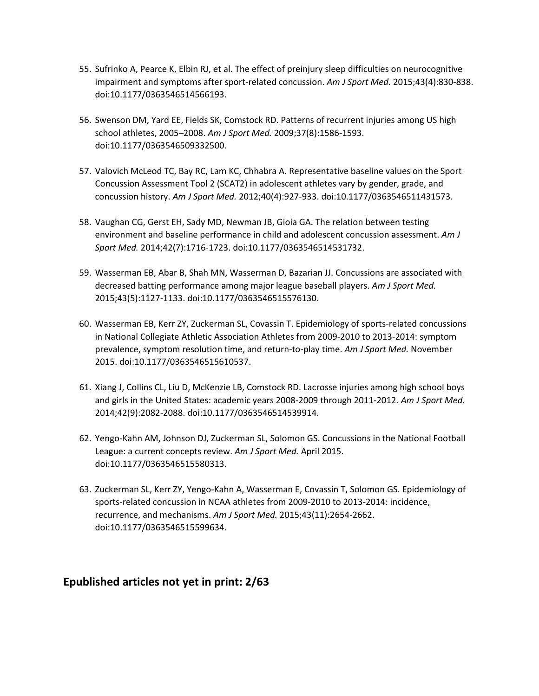- 55. Sufrinko A, Pearce K, Elbin RJ, et al. The effect of preinjury sleep difficulties on neurocognitive impairment and symptoms after sport-related concussion. *Am J Sport Med.* 2015;43(4):830-838. doi:10.1177/0363546514566193.
- 56. Swenson DM, Yard EE, Fields SK, Comstock RD. Patterns of recurrent injuries among US high school athletes, 2005–2008. *Am J Sport Med.* 2009;37(8):1586-1593. doi:10.1177/0363546509332500.
- 57. Valovich McLeod TC, Bay RC, Lam KC, Chhabra A. Representative baseline values on the Sport Concussion Assessment Tool 2 (SCAT2) in adolescent athletes vary by gender, grade, and concussion history. *Am J Sport Med.* 2012;40(4):927-933. doi:10.1177/0363546511431573.
- 58. Vaughan CG, Gerst EH, Sady MD, Newman JB, Gioia GA. The relation between testing environment and baseline performance in child and adolescent concussion assessment. *Am J Sport Med.* 2014;42(7):1716-1723. doi:10.1177/0363546514531732.
- 59. Wasserman EB, Abar B, Shah MN, Wasserman D, Bazarian JJ. Concussions are associated with decreased batting performance among major league baseball players. *Am J Sport Med.*  2015;43(5):1127-1133. doi:10.1177/0363546515576130.
- 60. Wasserman EB, Kerr ZY, Zuckerman SL, Covassin T. Epidemiology of sports-related concussions in National Collegiate Athletic Association Athletes from 2009-2010 to 2013-2014: symptom prevalence, symptom resolution time, and return-to-play time. *Am J Sport Med.* November 2015. doi:10.1177/0363546515610537.
- 61. Xiang J, Collins CL, Liu D, McKenzie LB, Comstock RD. Lacrosse injuries among high school boys and girls in the United States: academic years 2008-2009 through 2011-2012. *Am J Sport Med.*  2014;42(9):2082-2088. doi:10.1177/0363546514539914.
- 62. Yengo-Kahn AM, Johnson DJ, Zuckerman SL, Solomon GS. Concussions in the National Football League: a current concepts review. *Am J Sport Med.* April 2015. doi:10.1177/0363546515580313.
- 63. Zuckerman SL, Kerr ZY, Yengo-Kahn A, Wasserman E, Covassin T, Solomon GS. Epidemiology of sports-related concussion in NCAA athletes from 2009-2010 to 2013-2014: incidence, recurrence, and mechanisms. *Am J Sport Med.* 2015;43(11):2654-2662. doi:10.1177/0363546515599634.

### **Epublished articles not yet in print: 2/63**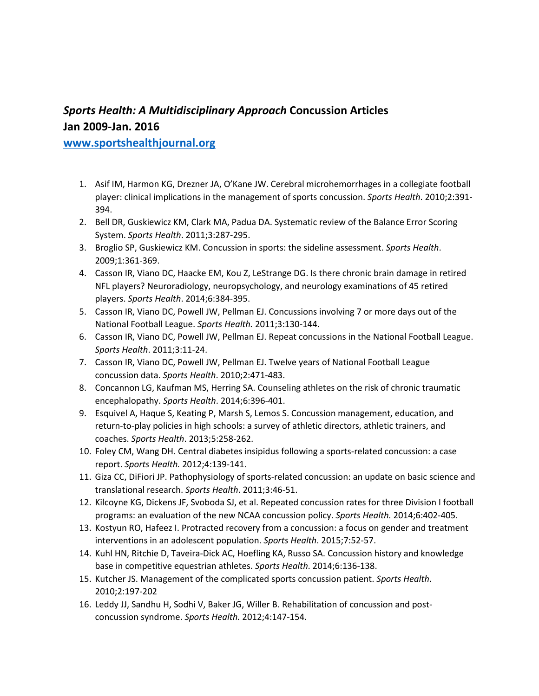## *Sports Health: A Multidisciplinary Approach* **Concussion Articles Jan 2009-Jan. 2016**

#### **[www.sportshealthjournal.org](http://www.sportshealthjournal.org/)**

- 1. Asif IM, Harmon KG, Drezner JA, O'Kane JW. Cerebral microhemorrhages in a collegiate football player: clinical implications in the management of sports concussion. *Sports Health*. 2010;2:391- 394.
- 2. Bell DR, Guskiewicz KM, Clark MA, Padua DA. Systematic review of the Balance Error Scoring System. *Sports Health*. 2011;3:287-295.
- 3. Broglio SP, Guskiewicz KM. Concussion in sports: the sideline assessment. *Sports Health*. 2009;1:361-369.
- 4. Casson IR, Viano DC, Haacke EM, Kou Z, LeStrange DG. Is there chronic brain damage in retired NFL players? Neuroradiology, neuropsychology, and neurology examinations of 45 retired players. *Sports Health*. 2014;6:384-395.
- 5. Casson IR, Viano DC, Powell JW, Pellman EJ. Concussions involving 7 or more days out of the National Football League. *Sports Health.* 2011;3:130-144.
- 6. Casson IR, Viano DC, Powell JW, Pellman EJ. Repeat concussions in the National Football League. *Sports Health*. 2011;3:11-24.
- 7. Casson IR, Viano DC, Powell JW, Pellman EJ. Twelve years of National Football League concussion data. *Sports Health*. 2010;2:471-483.
- 8. Concannon LG, Kaufman MS, Herring SA. Counseling athletes on the risk of chronic traumatic encephalopathy. *Sports Health*. 2014;6:396-401.
- 9. Esquivel A, Haque S, Keating P, Marsh S, Lemos S. Concussion management, education, and return-to-play policies in high schools: a survey of athletic directors, athletic trainers, and coaches. *Sports Health*. 2013;5:258-262.
- 10. Foley CM, Wang DH. Central diabetes insipidus following a sports-related concussion: a case report. *Sports Health.* 2012;4:139-141.
- 11. Giza CC, DiFiori JP. Pathophysiology of sports-related concussion: an update on basic science and translational research. *Sports Health*. 2011;3:46-51.
- 12. Kilcoyne KG, Dickens JF, Svoboda SJ, et al. Repeated concussion rates for three Division I football programs: an evaluation of the new NCAA concussion policy. *Sports Health.* 2014;6:402-405.
- 13. Kostyun RO, Hafeez I. Protracted recovery from a concussion: a focus on gender and treatment interventions in an adolescent population. *Sports Health*. 2015;7:52-57.
- 14. Kuhl HN, Ritchie D, Taveira-Dick AC, Hoefling KA, Russo SA. Concussion history and knowledge base in competitive equestrian athletes. *Sports Health*. 2014;6:136-138.
- 15. Kutcher JS. Management of the complicated sports concussion patient. *Sports Health*. 2010;2:197-202
- 16. Leddy JJ, Sandhu H, Sodhi V, Baker JG, Willer B. Rehabilitation of concussion and postconcussion syndrome. *Sports Health.* 2012;4:147-154.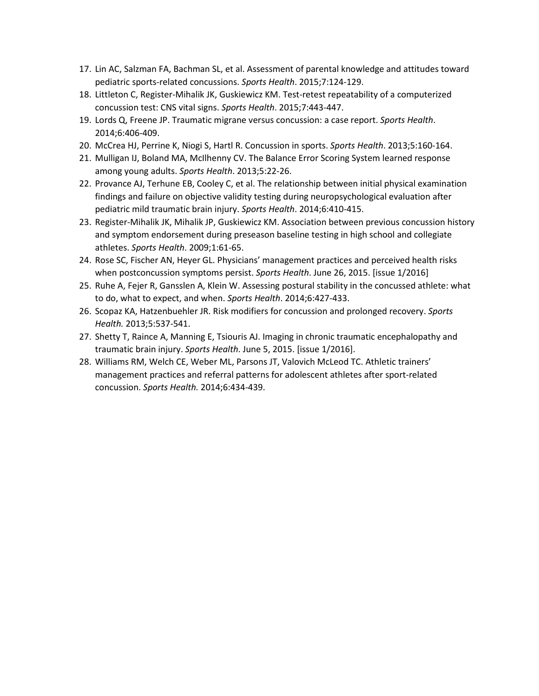- 17. Lin AC, Salzman FA, Bachman SL, et al. Assessment of parental knowledge and attitudes toward pediatric sports-related concussions. *Sports Health*. 2015;7:124-129.
- 18. Littleton C, Register-Mihalik JK, Guskiewicz KM. Test-retest repeatability of a computerized concussion test: CNS vital signs. *Sports Health*. 2015;7:443-447.
- 19. Lords Q, Freene JP. Traumatic migrane versus concussion: a case report. *Sports Health*. 2014;6:406-409.
- 20. McCrea HJ, Perrine K, Niogi S, Hartl R. Concussion in sports. *Sports Health*. 2013;5:160-164.
- 21. Mulligan IJ, Boland MA, McIlhenny CV. The Balance Error Scoring System learned response among young adults. *Sports Health*. 2013;5:22-26.
- 22. Provance AJ, Terhune EB, Cooley C, et al. The relationship between initial physical examination findings and failure on objective validity testing during neuropsychological evaluation after pediatric mild traumatic brain injury. *Sports Health*. 2014;6:410-415.
- 23. Register-Mihalik JK, Mihalik JP, Guskiewicz KM. Association between previous concussion history and symptom endorsement during preseason baseline testing in high school and collegiate athletes. *Sports Health*. 2009;1:61-65.
- 24. Rose SC, Fischer AN, Heyer GL. Physicians' management practices and perceived health risks when postconcussion symptoms persist. *Sports Health*. June 26, 2015. [issue 1/2016]
- 25. Ruhe A, Fejer R, Gansslen A, Klein W. Assessing postural stability in the concussed athlete: what to do, what to expect, and when. *Sports Health*. 2014;6:427-433.
- 26. Scopaz KA, Hatzenbuehler JR. Risk modifiers for concussion and prolonged recovery. *Sports Health.* 2013;5:537-541.
- 27. Shetty T, Raince A, Manning E, Tsiouris AJ. Imaging in chronic traumatic encephalopathy and traumatic brain injury. *Sports Health*. June 5, 2015. [issue 1/2016].
- 28. Williams RM, Welch CE, Weber ML, Parsons JT, Valovich McLeod TC. Athletic trainers' management practices and referral patterns for adolescent athletes after sport-related concussion. *Sports Health.* 2014;6:434-439.